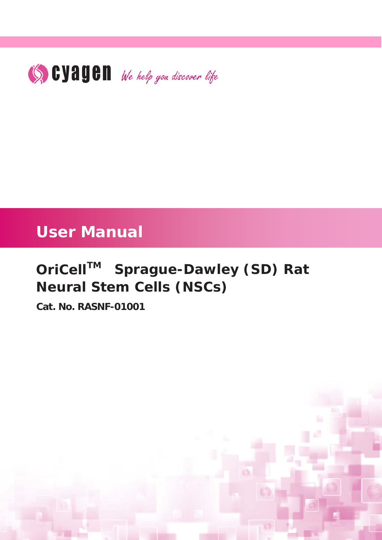

# **User Manual**

# *OriCellTM Sprague-Dawley (SD) Rat Neural Stem Cells (NSCs)*

**Cat. No. RASNF-01001**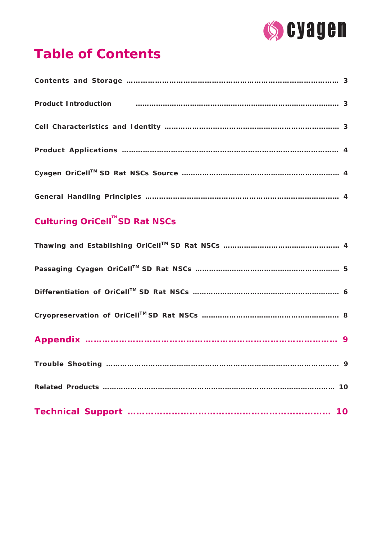

# **Table of Contents**

| Product Introduction manufactured and control manufactured and control manufactured and control of the state of the state of the state of the state of the state of the state of the state of the state of the state of the st |  |
|--------------------------------------------------------------------------------------------------------------------------------------------------------------------------------------------------------------------------------|--|
|                                                                                                                                                                                                                                |  |
|                                                                                                                                                                                                                                |  |
|                                                                                                                                                                                                                                |  |
|                                                                                                                                                                                                                                |  |

# **Culturing OriCell TM SD Rat NSCs**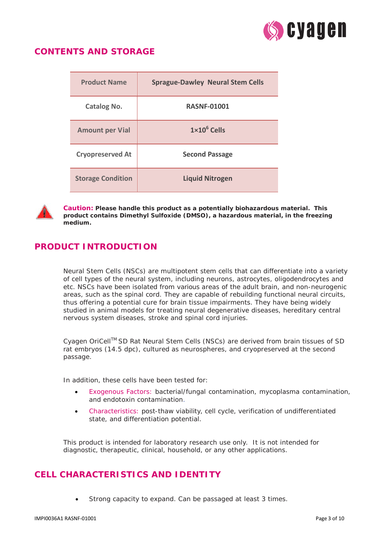

## **CONTENTS AND STORAGE**

| <b>Product Name</b>      | <b>Sprague-Dawley Neural Stem Cells</b> |
|--------------------------|-----------------------------------------|
| <b>Catalog No.</b>       | <b>RASNF-01001</b>                      |
| <b>Amount per Vial</b>   | $1\times10^6$ Cells                     |
| <b>Cryopreserved At</b>  | <b>Second Passage</b>                   |
| <b>Storage Condition</b> | <b>Liquid Nitrogen</b>                  |



*Caution:* **Please handle this product as a potentially biohazardous material. This product contains Dimethyl Sulfoxide (DMSO), a hazardous material, in the freezing medium.**

# **PRODUCT INTRODUCTION**

Neural Stem Cells (NSCs) are multipotent stem cells that can differentiate into a variety of cell types of the neural system, including neurons, astrocytes, oligodendrocytes and etc. NSCs have been isolated from various areas of the adult brain, and non-neurogenic areas, such as the spinal cord. They are capable of rebuilding functional neural circuits, thus offering a potential cure for brain tissue impairments. They have being widely studied in animal models for treating neural degenerative diseases, hereditary central nervous system diseases, stroke and spinal cord injuries.

Cyagen OriCell™ SD Rat Neural Stem Cells (NSCs) are derived from brain tissues of SD rat embryos (14.5 dpc), cultured as neurospheres, and cryopreserved at the second passage.

In addition, these cells have been tested for:

- Exogenous Factors: bacterial/fungal contamination, mycoplasma contamination, and endotoxin contamination.
- Characteristics: post-thaw viability, cell cycle, verification of undifferentiated state, and differentiation potential.

This product is intended for laboratory research use only. It is not intended for diagnostic, therapeutic, clinical, household, or any other applications.

## **CELL CHARACTERISTICS AND IDENTITY**

• Strong capacity to expand. Can be passaged at least 3 times.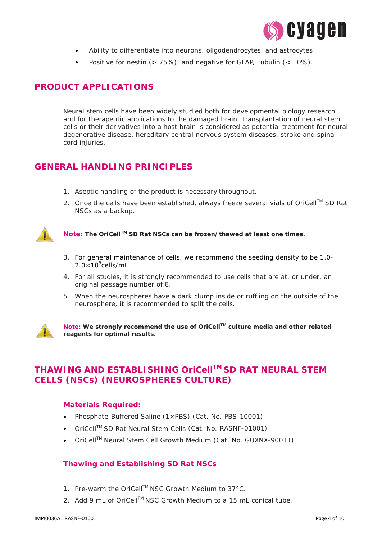

- Ability to differentiate into neurons, oligodendrocytes, and astrocytes
- Positive for nestin (> 75%), and negative for GFAP, Tubulin (< 10%).

# **PRODUCT APPLICATIONS**

Neural stem cells have been widely studied both for developmental biology research and for therapeutic applications to the damaged brain. Transplantation of neural stem cells or their derivatives into a host brain is considered as potential treatment for neural degenerative disease, hereditary central nervous system diseases, stroke and spinal cord injuries.

# **GENERAL HANDLING PRINCIPLES**

- 1. Aseptic handling of the product is necessary throughout.
- 2. Once the cells have been established, always freeze several vials of OriCell™ SD Rat NSCs as a backup.



*Note:* **The OriCellTM SD Rat NSCs can be frozen/thawed at least one times.** 

- 3. For general maintenance of cells, we recommend the seeding density to be 1.0-  $2.0\times10^5$ cells/mL.
- 4. For all studies, it is strongly recommended to use cells that are at, or under, an original passage number of 8.
- 5. When the neurospheres have a dark clump inside or ruffling on the outside of the neurosphere, it is recommended to split the cells.



*Note:* **We strongly recommend the use of OriCellTM culture media and other related reagents for optimal results.** 

# **THAWING AND ESTABLISHING OriCellTM SD RAT NEURAL STEM CELLS (NSCs) (NEUROSPHERES CULTURE)**

#### **Materials Required:**

- Phosphate-Buffered Saline (1×PBS) (Cat. No. PBS-10001)
- OriCell<sup>™</sup> SD Rat Neural Stem Cells (Cat. No. RASNF-01001)
- OriCell<sup>™</sup> Neural Stem Cell Growth Medium (Cat. No. GUXNX-90011)

#### **Thawing and Establishing SD Rat NSCs**

- 1. Pre-warm the OriCell™ NSC Growth Medium to 37°C.
- 2. Add 9 mL of OriCell™ NSC Growth Medium to a 15 mL conical tube.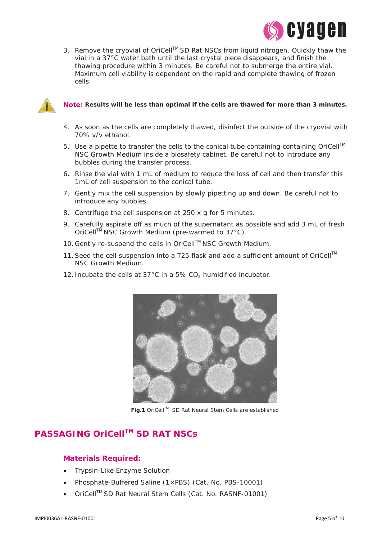

3. Remove the cryovial of OriCell™ SD Rat NSCs from liquid nitrogen. Quickly thaw the vial in a 37°C water bath until the last crystal piece disappears, and finish the thawing procedure within 3 minutes. Be careful not to submerge the entire vial. Maximum cell viability is dependent on the rapid and complete thawing of frozen cells.



#### *Note:* **Results will be less than optimal if the cells are thawed for more than 3 minutes.**

- 4. As soon as the cells are completely thawed, disinfect the outside of the cryovial with 70% v/v ethanol.
- 5. Use a pipette to transfer the cells to the conical tube containing containing OriCell<sup>TM</sup> NSC Growth Medium inside a biosafety cabinet. Be careful not to introduce any bubbles during the transfer process.
- 6. Rinse the vial with 1 mL of medium to reduce the loss of cell and then transfer this 1mL of cell suspension to the conical tube.
- 7. Gently mix the cell suspension by slowly pipetting up and down. Be careful not to introduce any bubbles.
- 8. Centrifuge the cell suspension at 250 x *g* for 5 minutes.
- 9. Carefully aspirate off as much of the supernatant as possible and add 3 mL of fresh OriCell<sup>™</sup> NSC Growth Medium (pre-warmed to 37°C).
- 10. Gently re-suspend the cells in OriCell™ NSC Growth Medium.
- 11. Seed the cell suspension into a T25 flask and add a sufficient amount of OriCell<sup>TM</sup> NSC Growth Medium.
- 12. Incubate the cells at  $37^{\circ}$ C in a 5% CO<sub>2</sub> humidified incubator.



**Fig.1** OriCellTM SD Rat Neural Stem Cells are established

# **PASSAGING OriCellTM SD RAT NSCs**

#### **Materials Required:**

- Trypsin-Like Enzyme Solution
- Phosphate-Buffered Saline (1×PBS) (Cat. No. PBS-10001)
- OriCell™ SD Rat Neural Stem Cells (Cat. No. RASNF-01001)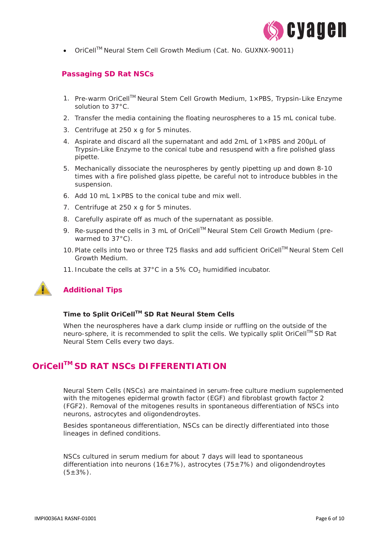

• OriCellTM Neural Stem Cell Growth Medium (Cat. No. GUXNX-90011)

#### **Passaging SD Rat NSCs**

- 1. Pre-warm OriCell<sup>™</sup> Neural Stem Cell Growth Medium,  $1 \times PBS$ , Trypsin-Like Enzyme solution to 37°C.
- 2. Transfer the media containing the floating neurospheres to a 15 mL conical tube.
- 3. Centrifuge at 250 x *g* for 5 minutes.
- 4. Aspirate and discard all the supernatant and add  $2mL$  of  $1\times$ PBS and  $200\mu L$  of Trypsin-Like Enzyme to the conical tube and resuspend with a fire polished glass pipette.
- 5. Mechanically dissociate the neurospheres by gently pipetting up and down 8-10 times with a fire polished glass pipette, be careful not to introduce bubbles in the suspension.
- 6. Add 10 mL 1×PBS to the conical tube and mix well.
- 7. Centrifuge at 250 x *g* for 5 minutes.
- 8. Carefully aspirate off as much of the supernatant as possible.
- 9. Re-suspend the cells in 3 mL of OriCell™ Neural Stem Cell Growth Medium (prewarmed to 37°C).
- 10. Plate cells into two or three T25 flasks and add sufficient OriCell™ Neural Stem Cell Growth Medium.
- 11. Incubate the cells at  $37^{\circ}$ C in a 5% CO<sub>2</sub> humidified incubator.



### **Additional Tips**

#### **Time to Split OriCellTM SD Rat Neural Stem Cells**

When the neurospheres have a dark clump inside or ruffling on the outside of the neuro-sphere, it is recommended to split the cells. We typically split OriCell™ SD Rat Neural Stem Cells every two days.

# **OriCellTM SD RAT NSCs DIFFERENTIATION**

Neural Stem Cells (NSCs) are maintained in serum-free culture medium supplemented with the mitogenes epidermal growth factor (EGF) and fibroblast growth factor 2 (FGF2). Removal of the mitogenes results in spontaneous differentiation of NSCs into neurons, astrocytes and oligondendroytes.

Besides spontaneous differentiation, NSCs can be directly differentiated into those lineages in defined conditions.

NSCs cultured in serum medium for about 7 days will lead to spontaneous differentiation into neurons (16±7%), astrocytes (75±7%) and oligondendroytes  $(5±3%)$ .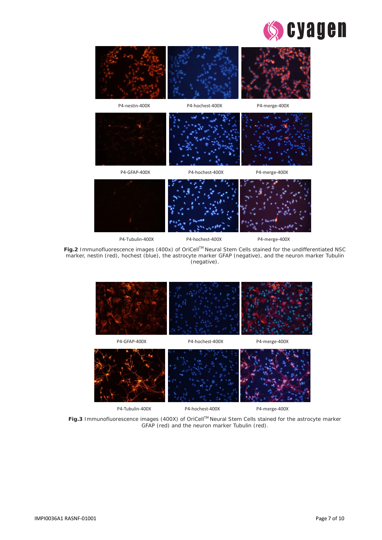



**Fig.2** Immunofluorescence images (400x) of OriCell™ Neural Stem Cells stained for the undifferentiated NSC marker, nestin (red), hochest (blue), the astrocyte marker GFAP (negative), and the neuron marker Tubulin (negative).



Fig.3 Immunofluorescence images (400X) of OriCell™ Neural Stem Cells stained for the astrocyte marker GFAP (red) and the neuron marker Tubulin (red).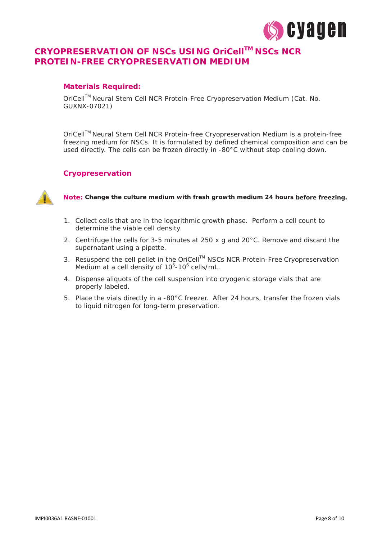

# **CRYOPRESERVATION OF NSCs USING OriCellTM NSCs NCR PROTEIN-FREE CRYOPRESERVATION MEDIUM**

#### **Materials Required:**

OriCellTM Neural Stem Cell NCR Protein-Free Cryopreservation Medium (Cat. No. GUXNX-07021)

OriCellTM Neural Stem Cell NCR Protein-free Cryopreservation Medium is a protein-free freezing medium for NSCs. It is formulated by defined chemical composition and can be used directly. The cells can be frozen directly in -80°C without step cooling down.

#### **Cryopreservation**



*Note:* **Change the culture medium with fresh growth medium 24 hours before freezing.**

- 1. Collect cells that are in the logarithmic growth phase. Perform a cell count to determine the viable cell density.
- 2. Centrifuge the cells for 3-5 minutes at 250 x *g* and 20°C. Remove and discard the supernatant using a pipette.
- 3. Resuspend the cell pellet in the OriCell™ NSCs NCR Protein-Free Cryopreservation Medium at a cell density of 10<sup>5</sup>-10<sup>6</sup> cells/mL.
- 4. Dispense aliquots of the cell suspension into cryogenic storage vials that are properly labeled.
- 5. Place the vials directly in a -80°C freezer. After 24 hours, transfer the frozen vials to liquid nitrogen for long-term preservation.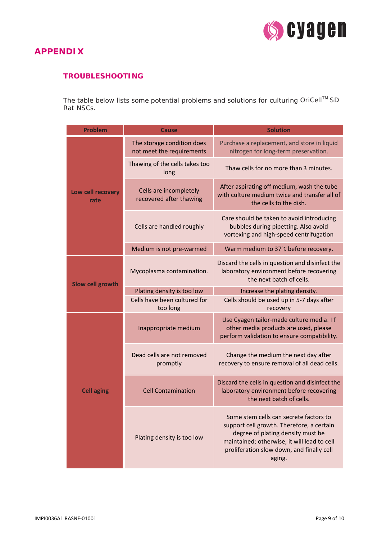

### **APPENDIX**

#### **TROUBLESHOOTING**

The table below lists some potential problems and solutions for culturing OriCell<sup>TM</sup> SD Rat NSCs.

| <b>Problem</b>            | <b>Cause</b>                                            | <b>Solution</b>                                                                                                                                                                                                                |  |
|---------------------------|---------------------------------------------------------|--------------------------------------------------------------------------------------------------------------------------------------------------------------------------------------------------------------------------------|--|
| Low cell recovery<br>rate | The storage condition does<br>not meet the requirements | Purchase a replacement, and store in liquid<br>nitrogen for long-term preservation.                                                                                                                                            |  |
|                           | Thawing of the cells takes too<br>long                  | Thaw cells for no more than 3 minutes.                                                                                                                                                                                         |  |
|                           | Cells are incompletely<br>recovered after thawing       | After aspirating off medium, wash the tube<br>with culture medium twice and transfer all of<br>the cells to the dish.                                                                                                          |  |
|                           | Cells are handled roughly                               | Care should be taken to avoid introducing<br>bubbles during pipetting. Also avoid<br>vortexing and high-speed centrifugation                                                                                                   |  |
|                           | Medium is not pre-warmed                                | Warm medium to 37°C before recovery.                                                                                                                                                                                           |  |
| <b>Slow cell growth</b>   | Mycoplasma contamination.                               | Discard the cells in question and disinfect the<br>laboratory environment before recovering<br>the next batch of cells.                                                                                                        |  |
|                           | Plating density is too low                              | Increase the plating density.                                                                                                                                                                                                  |  |
|                           | Cells have been cultured for<br>too long                | Cells should be used up in 5-7 days after<br>recovery                                                                                                                                                                          |  |
| <b>Cell aging</b>         | Inappropriate medium                                    | Use Cyagen tailor-made culture media. If<br>other media products are used, please<br>perform validation to ensure compatibility.                                                                                               |  |
|                           | Dead cells are not removed<br>promptly                  | Change the medium the next day after<br>recovery to ensure removal of all dead cells.                                                                                                                                          |  |
|                           | <b>Cell Contamination</b>                               | Discard the cells in question and disinfect the<br>laboratory environment before recovering<br>the next batch of cells.                                                                                                        |  |
|                           | Plating density is too low                              | Some stem cells can secrete factors to<br>support cell growth. Therefore, a certain<br>degree of plating density must be<br>maintained; otherwise, it will lead to cell<br>proliferation slow down, and finally cell<br>aging. |  |